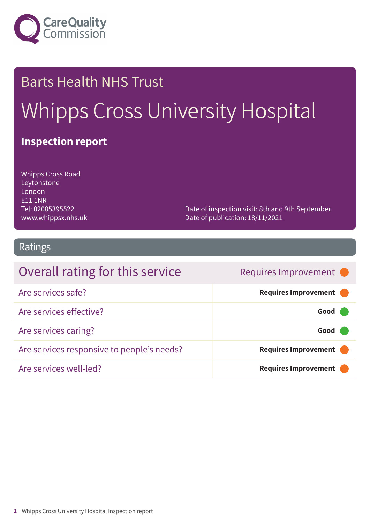

# Barts Health NHS Trust Whipps Cross University Hospital

### **Inspection report**

Whipps Cross Road Leytonstone London E11 1NR Tel: 02085395522 www.whippsx.nhs.uk

Date of inspection visit: 8th and 9th September Date of publication: 18/11/2021

### Ratings

| Overall rating for this service            | Requires Improvement •      |
|--------------------------------------------|-----------------------------|
| Are services safe?                         | Requires Improvement        |
| Are services effective?                    | Good                        |
| Are services caring?                       | Good                        |
| Are services responsive to people's needs? | Requires Improvement        |
| Are services well-led?                     | <b>Requires Improvement</b> |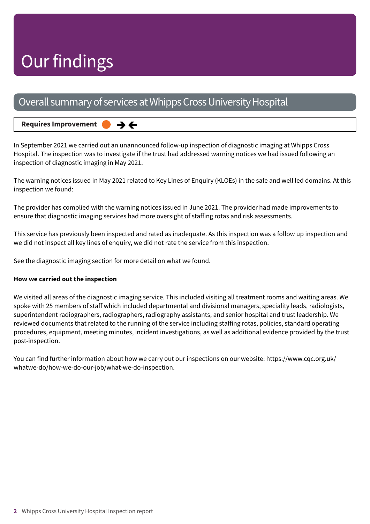## Our findings

### Overall summary of services at Whipps Cross University Hospital

→←

#### **Requires Improvement –––**

In September 2021 we carried out an unannounced follow-up inspection of diagnostic imaging at Whipps Cross Hospital. The inspection was to investigate if the trust had addressed warning notices we had issued following an inspection of diagnostic imaging in May 2021.

The warning notices issued in May 2021 related to Key Lines of Enquiry (KLOEs) in the safe and well led domains. At this inspection we found:

The provider has complied with the warning notices issued in June 2021. The provider had made improvements to ensure that diagnostic imaging services had more oversight of staffing rotas and risk assessments.

This service has previously been inspected and rated as inadequate. As this inspection was a follow up inspection and we did not inspect all key lines of enquiry, we did not rate the service from this inspection.

See the diagnostic imaging section for more detail on what we found.

#### **How we carried out the inspection**

We visited all areas of the diagnostic imaging service. This included visiting all treatment rooms and waiting areas. We spoke with 25 members of staff which included departmental and divisional managers, speciality leads, radiologists, superintendent radiographers, radiographers, radiography assistants, and senior hospital and trust leadership. We reviewed documents that related to the running of the service including staffing rotas, policies, standard operating procedures, equipment, meeting minutes, incident investigations, as well as additional evidence provided by the trust post-inspection.

You can find further information about how we carry out our inspections on our website: https://www.cqc.org.uk/ whatwe-do/how-we-do-our-job/what-we-do-inspection.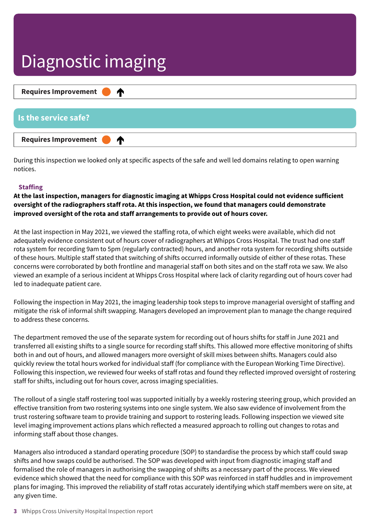### Diagnostic imaging

| Requires Improvement <b>C</b> |
|-------------------------------|
|                               |
| Is the service safe?          |
| Requires Improvement <b>C</b> |

During this inspection we looked only at specific aspects of the safe and well led domains relating to open warning notices.

#### **Staffing**

**At the last inspection, managers for diagnostic imaging at Whipps Cross Hospital could not evidence sufficient oversight of the radiographers staff rota. At this inspection, we found that managers could demonstrate improved oversight of the rota and staff arrangements to provide out of hours cover.**

At the last inspection in May 2021, we viewed the staffing rota, of which eight weeks were available, which did not adequately evidence consistent out of hours cover of radiographers at Whipps Cross Hospital. The trust had one staff rota system for recording 9am to 5pm (regularly contracted) hours, and another rota system for recording shifts outside of these hours. Multiple staff stated that switching of shifts occurred informally outside of either of these rotas. These concerns were corroborated by both frontline and managerial staff on both sites and on the staff rota we saw. We also viewed an example of a serious incident at Whipps Cross Hospital where lack of clarity regarding out of hours cover had led to inadequate patient care.

Following the inspection in May 2021, the imaging leadership took steps to improve managerial oversight of staffing and mitigate the risk of informal shift swapping. Managers developed an improvement plan to manage the change required to address these concerns.

The department removed the use of the separate system for recording out of hours shifts for staff in June 2021 and transferred all existing shifts to a single source for recording staff shifts. This allowed more effective monitoring of shifts both in and out of hours, and allowed managers more oversight of skill mixes between shifts. Managers could also quickly review the total hours worked for individual staff (for compliance with the European Working Time Directive). Following this inspection, we reviewed four weeks of staff rotas and found they reflected improved oversight of rostering staff for shifts, including out for hours cover, across imaging specialities.

The rollout of a single staff rostering tool was supported initially by a weekly rostering steering group, which provided an effective transition from two rostering systems into one single system. We also saw evidence of involvement from the trust rostering software team to provide training and support to rostering leads. Following inspection we viewed site level imaging improvement actions plans which reflected a measured approach to rolling out changes to rotas and informing staff about those changes.

Managers also introduced a standard operating procedure (SOP) to standardise the process by which staff could swap shifts and how swaps could be authorised. The SOP was developed with input from diagnostic imaging staff and formalised the role of managers in authorising the swapping of shifts as a necessary part of the process. We viewed evidence which showed that the need for compliance with this SOP was reinforced in staff huddles and in improvement plans for imaging. This improved the reliability of staff rotas accurately identifying which staff members were on site, at any given time.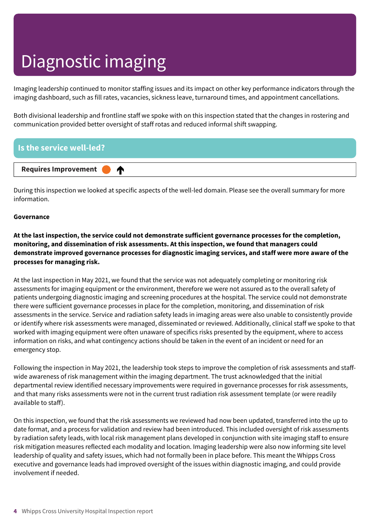## Diagnostic imaging

Imaging leadership continued to monitor staffing issues and its impact on other key performance indicators through the imaging dashboard, such as fill rates, vacancies, sickness leave, turnaround times, and appointment cancellations.

Both divisional leadership and frontline staff we spoke with on this inspection stated that the changes in rostering and communication provided better oversight of staff rotas and reduced informal shift swapping.

#### **Is the service well-led?**



During this inspection we looked at specific aspects of the well-led domain. Please see the overall summary for more information.

#### **Governance**

**At the last inspection, the service could not demonstrate sufficient governance processes for the completion, monitoring, and dissemination of risk assessments. At this inspection, we found that managers could demonstrate improved governance processes for diagnostic imaging services, and staff were more aware of the processes for managing risk.**

At the last inspection in May 2021, we found that the service was not adequately completing or monitoring risk assessments for imaging equipment or the environment, therefore we were not assured as to the overall safety of patients undergoing diagnostic imaging and screening procedures at the hospital. The service could not demonstrate there were sufficient governance processes in place for the completion, monitoring, and dissemination of risk assessments in the service. Service and radiation safety leads in imaging areas were also unable to consistently provide or identify where risk assessments were managed, disseminated or reviewed. Additionally, clinical staff we spoke to that worked with imaging equipment were often unaware of specifics risks presented by the equipment, where to access information on risks, and what contingency actions should be taken in the event of an incident or need for an emergency stop.

Following the inspection in May 2021, the leadership took steps to improve the completion of risk assessments and staffwide awareness of risk management within the imaging department. The trust acknowledged that the initial departmental review identified necessary improvements were required in governance processes for risk assessments, and that many risks assessments were not in the current trust radiation risk assessment template (or were readily available to staff).

On this inspection, we found that the risk assessments we reviewed had now been updated, transferred into the up to date format, and a process for validation and review had been introduced. This included oversight of risk assessments by radiation safety leads, with local risk management plans developed in conjunction with site imaging staff to ensure risk mitigation measures reflected each modality and location. Imaging leadership were also now informing site level leadership of quality and safety issues, which had not formally been in place before. This meant the Whipps Cross executive and governance leads had improved oversight of the issues within diagnostic imaging, and could provide involvement if needed.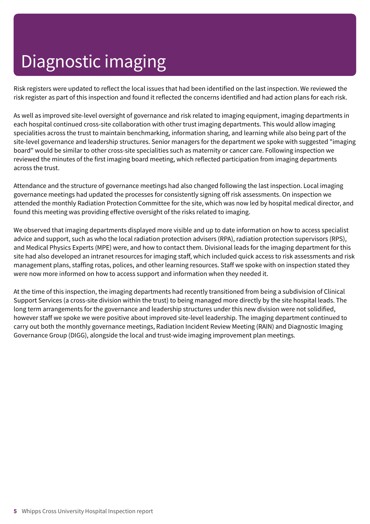## Diagnostic imaging

Risk registers were updated to reflect the local issues that had been identified on the last inspection. We reviewed the risk register as part of this inspection and found it reflected the concerns identified and had action plans for each risk.

As well as improved site-level oversight of governance and risk related to imaging equipment, imaging departments in each hospital continued cross-site collaboration with other trust imaging departments. This would allow imaging specialities across the trust to maintain benchmarking, information sharing, and learning while also being part of the site-level governance and leadership structures. Senior managers for the department we spoke with suggested "imaging board" would be similar to other cross-site specialities such as maternity or cancer care. Following inspection we reviewed the minutes of the first imaging board meeting, which reflected participation from imaging departments across the trust.

Attendance and the structure of governance meetings had also changed following the last inspection. Local imaging governance meetings had updated the processes for consistently signing off risk assessments. On inspection we attended the monthly Radiation Protection Committee for the site, which was now led by hospital medical director, and found this meeting was providing effective oversight of the risks related to imaging.

We observed that imaging departments displayed more visible and up to date information on how to access specialist advice and support, such as who the local radiation protection advisers (RPA), radiation protection supervisors (RPS), and Medical Physics Experts (MPE) were, and how to contact them. Divisional leads for the imaging department for this site had also developed an intranet resources for imaging staff, which included quick access to risk assessments and risk management plans, staffing rotas, polices, and other learning resources. Staff we spoke with on inspection stated they were now more informed on how to access support and information when they needed it.

At the time of this inspection, the imaging departments had recently transitioned from being a subdivision of Clinical Support Services (a cross-site division within the trust) to being managed more directly by the site hospital leads. The long term arrangements for the governance and leadership structures under this new division were not solidified, however staff we spoke we were positive about improved site-level leadership. The imaging department continued to carry out both the monthly governance meetings, Radiation Incident Review Meeting (RAIN) and Diagnostic Imaging Governance Group (DIGG), alongside the local and trust-wide imaging improvement plan meetings.